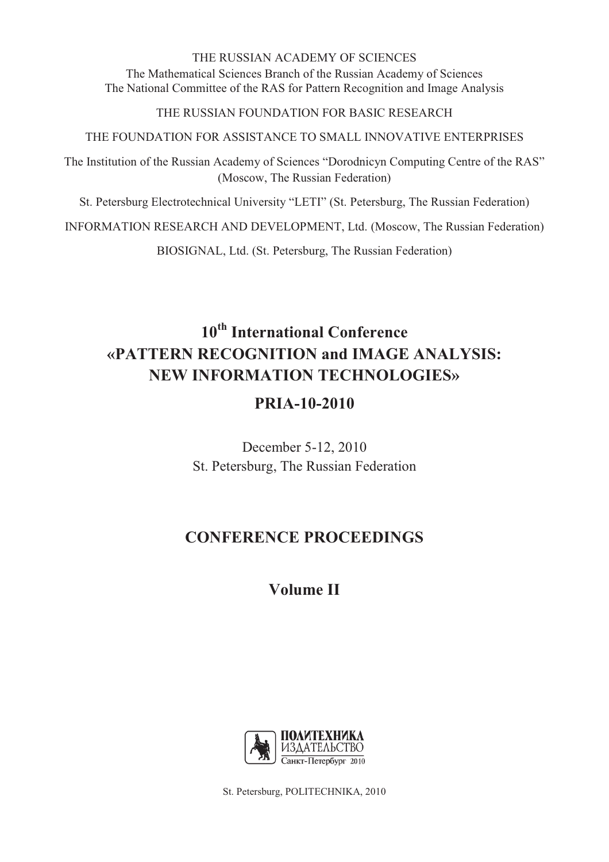## THE RUSSIAN ACADEMY OF SCIENCES The Mathematical Sciences Branch of the Russian Academy of Sciences The National Committee of the RAS for Pattern Recognition and Image Analysis

## THE RUSSIAN FOUNDATION FOR BASIC RESEARCH

THE FOUNDATION FOR ASSISTANCE TO SMALL INNOVATIVE ENTERPRISES

The Institution of the Russian Academy of Sciences "Dorodnicyn Computing Centre of the RAS" (Moscow, The Russian Federation)

St. Petersburg Electrotechnical University "LETI" (St. Petersburg, The Russian Federation)

INFORMATION RESEARCH AND DEVELOPMENT, Ltd. (Moscow, The Russian Federation)

BIOSIGNAL, Ltd. (St. Petersburg, The Russian Federation)

# **10th International Conference «PATTERN RECOGNITION and IMAGE ANALYSIS: NEW INFORMATION TECHNOLOGIES»**

# **PRIA-10-2010**

December 5-12, 2010 St. Petersburg, The Russian Federation

# **CONFERENCE PROCEEDINGS**

# **Volume II**



St. Petersburg, POLITECHNIKA, 2010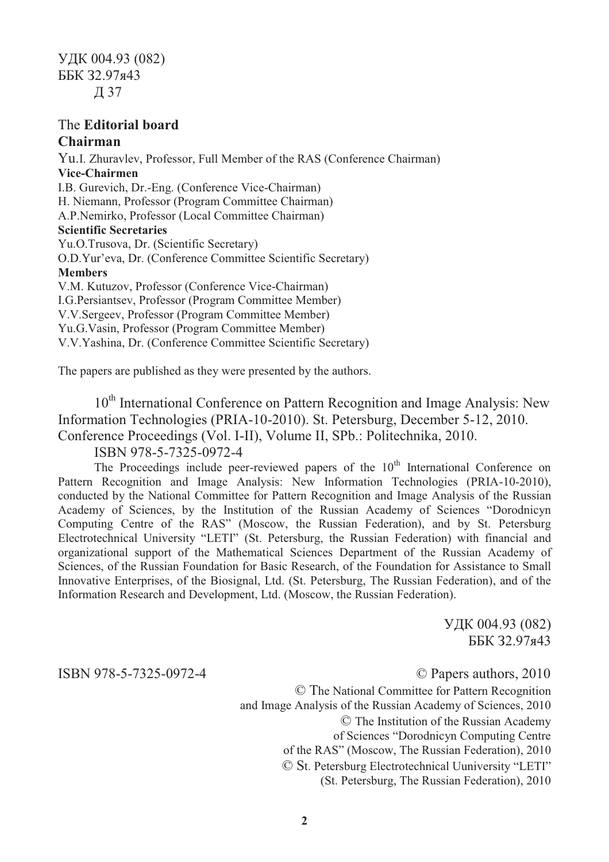## The **Editorial board**

## **Chairman**

Yu.I. Zhuravlev, Professor, Full Member of the RAS (Conference Chairman) **Vice-Chairmen**  I.B. Gurevich, Dr.-Eng. (Conference Vice-Chairman) H. Niemann, Professor (Program Committee Chairman) A.P.Nemirko, Professor (Local Committee Chairman) **Scientific Secretaries**  Yu.O.Trusova, Dr. (Scientific Secretary) O.D.Yur'eva, Dr. (Conference Committee Scientific Secretary) **Members**  V.M. Kutuzov, Professor (Conference Vice-Chairman) I.G.Persiantsev, Professor (Program Committee Member) V.V.Sergeev, Professor (Program Committee Member) Yu.G.Vasin, Professor (Program Committee Member) V.V.Yashina, Dr. (Conference Committee Scientific Secretary)

The papers are published as they were presented by the authors.

10<sup>th</sup> International Conference on Pattern Recognition and Image Analysis: New Information Technologies (PRIA-10-2010). St. Petersburg, December 5-12, 2010. Conference Proceedings (Vol. I-II), Volume II, SPb.: Politechnika, 2010.

ISBN 978-5-7325-0972-4

The Proceedings include peer-reviewed papers of the  $10<sup>th</sup>$  International Conference on Pattern Recognition and Image Analysis: New Information Technologies (PRIA-10-2010), conducted by the National Committee for Pattern Recognition and Image Analysis of the Russian Academy of Sciences, by the Institution of the Russian Academy of Sciences "Dorodnicyn Computing Centre of the RAS" (Moscow, the Russian Federation), and by St. Petersburg Electrotechnical University "LETI" (St. Petersburg, the Russian Federation) with financial and organizational support of the Mathematical Sciences Department of the Russian Academy of Sciences, of the Russian Foundation for Basic Research, of the Foundation for Assistance to Small Innovative Enterprises, of the Biosignal, Ltd. (St. Petersburg, The Russian Federation), and of the Information Research and Development, Ltd. (Moscow, the Russian Federation).

> УДК 004.93 (082) ББК З2.97я43

ISBN 978-5-7325-0972-4 © Papers authors, 2010

© The National Committee for Pattern Recognition and Image Analysis of the Russian Academy of Sciences, 2010 © The Institution of the Russian Academy of Sciences "Dorodnicyn Computing Centre of the RAS" (Moscow, The Russian Federation), 2010 © St. Petersburg Electrotechnical Uuniversity "LETI" (St. Petersburg, The Russian Federation), 2010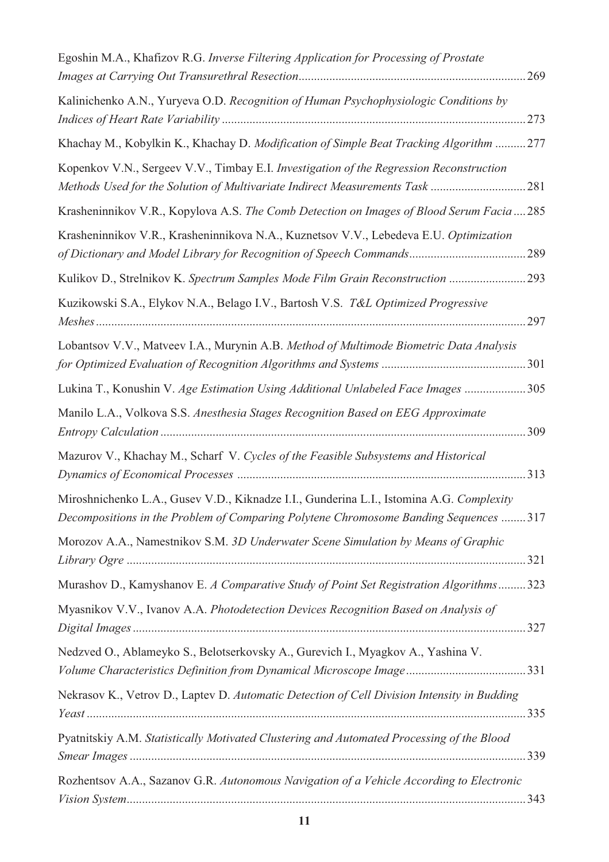| Egoshin M.A., Khafizov R.G. Inverse Filtering Application for Processing of Prostate<br>269                                                                                      |
|----------------------------------------------------------------------------------------------------------------------------------------------------------------------------------|
| Kalinichenko A.N., Yuryeva O.D. Recognition of Human Psychophysiologic Conditions by<br>273                                                                                      |
| Khachay M., Kobylkin K., Khachay D. Modification of Simple Beat Tracking Algorithm 277                                                                                           |
| Kopenkov V.N., Sergeev V.V., Timbay E.I. Investigation of the Regression Reconstruction<br>Methods Used for the Solution of Multivariate Indirect Measurements Task 281          |
| Krasheninnikov V.R., Kopylova A.S. The Comb Detection on Images of Blood Serum Facia  285                                                                                        |
| Krasheninnikov V.R., Krasheninnikova N.A., Kuznetsov V.V., Lebedeva E.U. Optimization<br>289                                                                                     |
| Kulikov D., Strelnikov K. Spectrum Samples Mode Film Grain Reconstruction  293                                                                                                   |
| Kuzikowski S.A., Elykov N.A., Belago I.V., Bartosh V.S. T&L Optimized Progressive<br>297                                                                                         |
| Lobantsov V.V., Matveev I.A., Murynin A.B. Method of Multimode Biometric Data Analysis                                                                                           |
| Lukina T., Konushin V. Age Estimation Using Additional Unlabeled Face Images 305                                                                                                 |
| Manilo L.A., Volkova S.S. Anesthesia Stages Recognition Based on EEG Approximate<br>309                                                                                          |
| Mazurov V., Khachay M., Scharf V. Cycles of the Feasible Subsystems and Historical                                                                                               |
| Miroshnichenko L.A., Gusev V.D., Kiknadze I.I., Gunderina L.I., Istomina A.G. Complexity<br>Decompositions in the Problem of Comparing Polytene Chromosome Banding Sequences 317 |
| Morozov A.A., Namestnikov S.M. 3D Underwater Scene Simulation by Means of Graphic                                                                                                |
| Murashov D., Kamyshanov E. A Comparative Study of Point Set Registration Algorithms323                                                                                           |
| Myasnikov V.V., Ivanov A.A. Photodetection Devices Recognition Based on Analysis of                                                                                              |
| Nedzved O., Ablameyko S., Belotserkovsky A., Gurevich I., Myagkov A., Yashina V.                                                                                                 |
| Nekrasov K., Vetrov D., Laptev D. Automatic Detection of Cell Division Intensity in Budding                                                                                      |
| Pyatnitskiy A.M. Statistically Motivated Clustering and Automated Processing of the Blood                                                                                        |
| Rozhentsov A.A., Sazanov G.R. Autonomous Navigation of a Vehicle According to Electronic                                                                                         |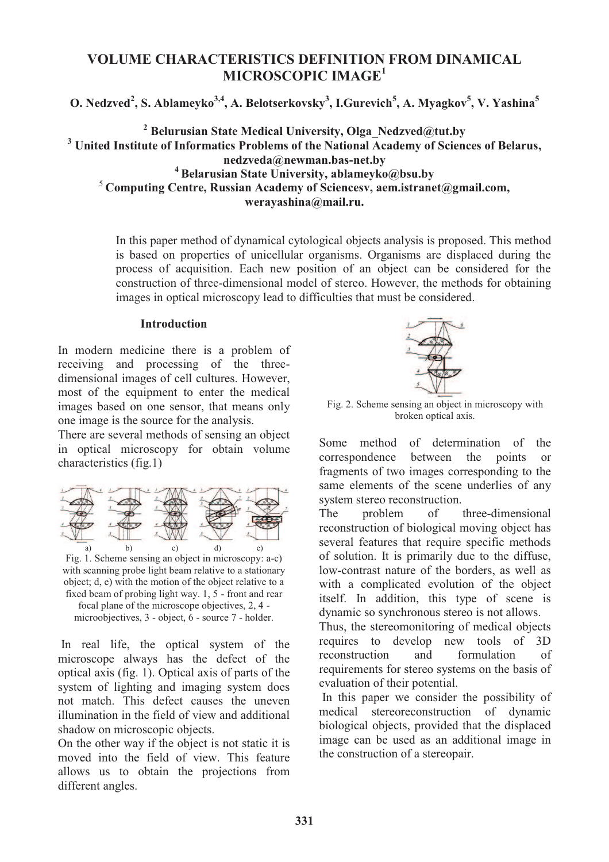## **VOLUME CHARACTERISTICS DEFINITION FROM DINAMICAL MICROSCOPIC IMAGE<sup>1</sup>**

**O. Nedzved<sup>2</sup> , S. Ablameyko3,4, A. Belotserkovsky<sup>3</sup> , I.Gurevich<sup>5</sup> , A. Myagkov<sup>5</sup> , V. Yashina<sup>5</sup>**

 **Belurusian State Medical University, Olga\_Nedzved@tut.by United Institute of Informatics Problems of the National Academy of Sciences of Belarus, nedzveda@newman.bas-net.by Belarusian State University, ablameyko@bsu.by Computing Centre, Russian Academy of Sciencesv, aem.istranet@gmail.com,** 

**werayashina@mail.ru.** 

In this paper method of dynamical cytological objects analysis is proposed. This method is based on properties of unicellular organisms. Organisms are displaced during the process of acquisition. Each new position of an object can be considered for the construction of three-dimensional model of stereo. However, the methods for obtaining images in optical microscopy lead to difficulties that must be considered.

### **Introduction**

In modern medicine there is a problem of receiving and processing of the threedimensional images of cell cultures. However, most of the equipment to enter the medical images based on one sensor, that means only one image is the source for the analysis.

There are several methods of sensing an object in optical microscopy for obtain volume characteristics (fig.1)



Fig. 1. Scheme sensing an object in microscopy: a-c) with scanning probe light beam relative to a stationary object; d, e) with the motion of the object relative to a fixed beam of probing light way. 1, 5 - front and rear focal plane of the microscope objectives, 2, 4 microobjectives, 3 - object, 6 - source 7 - holder.

 In real life, the optical system of the microscope always has the defect of the optical axis (fig. 1). Optical axis of parts of the system of lighting and imaging system does not match. This defect causes the uneven illumination in the field of view and additional shadow on microscopic objects.

On the other way if the object is not static it is moved into the field of view. This feature allows us to obtain the projections from different angles.



Fig. 2. Scheme sensing an object in microscopy with broken optical axis.

Some method of determination of the correspondence between the points or fragments of two images corresponding to the same elements of the scene underlies of any system stereo reconstruction.

The problem of three-dimensional reconstruction of biological moving object has several features that require specific methods of solution. It is primarily due to the diffuse, low-contrast nature of the borders, as well as with a complicated evolution of the object itself. In addition, this type of scene is dynamic so synchronous stereo is not allows.

Thus, the stereomonitoring of medical objects requires to develop new tools of 3D reconstruction and formulation of requirements for stereo systems on the basis of evaluation of their potential.

 In this paper we consider the possibility of medical stereoreconstruction of dynamic biological objects, provided that the displaced image can be used as an additional image in the construction of a stereopair.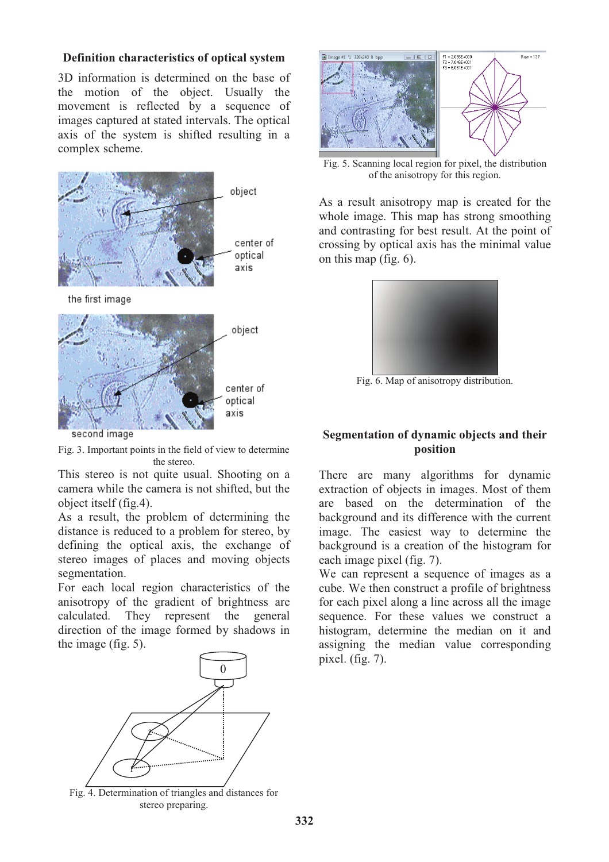### **Definition characteristics of optical system**

3D information is determined on the base of the motion of the object. Usually the movement is reflected by a sequence of images captured at stated intervals. The optical axis of the system is shifted resulting in a complex scheme.



Fig. 3. Important points in the field of view to determine the stereo.

This stereo is not quite usual. Shooting on a camera while the camera is not shifted, but the object itself (fig.4).

As a result, the problem of determining the distance is reduced to a problem for stereo, by defining the optical axis, the exchange of stereo images of places and moving objects segmentation.

For each local region characteristics of the anisotropy of the gradient of brightness are calculated. They represent the general direction of the image formed by shadows in the image (fig. 5).



Fig. 4. Determination of triangles and distances for stereo preparing.



Fig. 5. Scanning local region for pixel, the distribution of the anisotropy for this region.

As a result anisotropy map is created for the whole image. This map has strong smoothing and contrasting for best result. At the point of crossing by optical axis has the minimal value on this map (fig. 6).



Fig. 6. Map of anisotropy distribution.

## **Segmentation of dynamic objects and their position**

There are many algorithms for dynamic extraction of objects in images. Most of them are based on the determination of the background and its difference with the current image. The easiest way to determine the background is a creation of the histogram for each image pixel (fig. 7).

We can represent a sequence of images as a cube. We then construct a profile of brightness for each pixel along a line across all the image sequence. For these values we construct a histogram, determine the median on it and assigning the median value corresponding pixel. (fig. 7).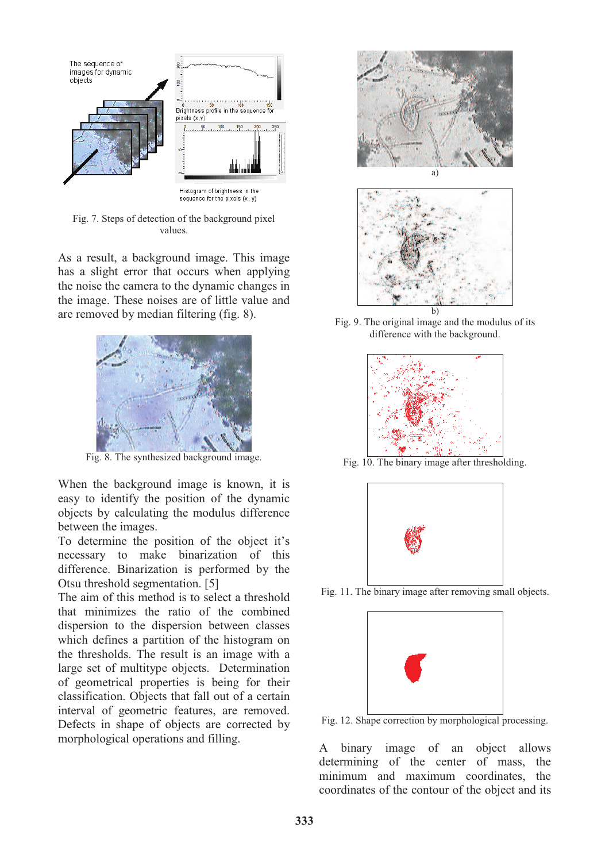

Fig. 7. Steps of detection of the background pixel values.

As a result, a background image. This image has a slight error that occurs when applying the noise the camera to the dynamic changes in the image. These noises are of little value and are removed by median filtering (fig. 8).



Fig. 8. The synthesized background image.

When the background image is known, it is easy to identify the position of the dynamic objects by calculating the modulus difference between the images.

To determine the position of the object it's necessary to make binarization of this difference. Binarization is performed by the Otsu threshold segmentation. [5]

The aim of this method is to select a threshold that minimizes the ratio of the combined dispersion to the dispersion between classes which defines a partition of the histogram on the thresholds. The result is an image with a large set of multitype objects. Determination of geometrical properties is being for their classification. Objects that fall out of a certain interval of geometric features, are removed. Defects in shape of objects are corrected by morphological operations and filling.



Fig. 9. The original image and the modulus of its difference with the background.



Fig. 10. The binary image after thresholding.



Fig. 11. The binary image after removing small objects.



Fig. 12. Shape correction by morphological processing.

A binary image of an object allows determining of the center of mass, the minimum and maximum coordinates, the coordinates of the contour of the object and its